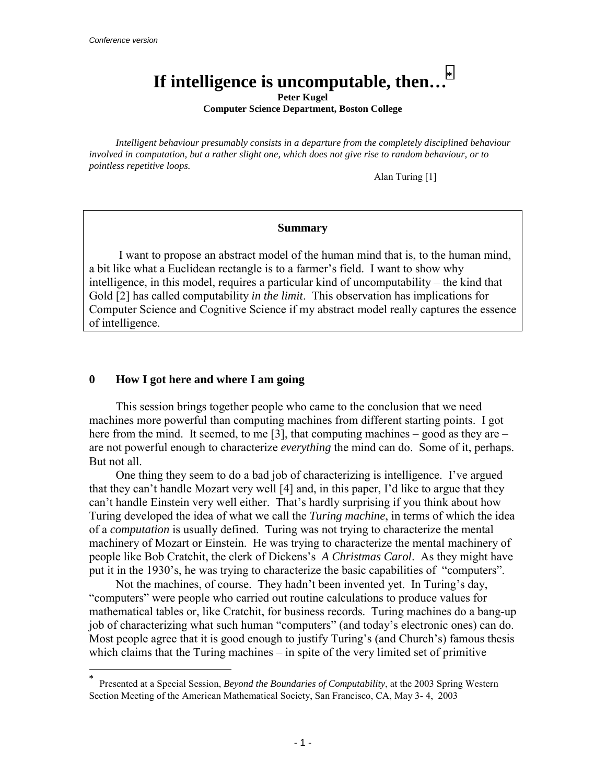l

# **If intelligence is uncomputable, then…\***

**Peter Kugel** 

**Computer Science Department, Boston College** 

*Intelligent behaviour presumably consists in a departure from the completely disciplined behaviour involved in computation, but a rather slight one, which does not give rise to random behaviour, or to pointless repetitive loops.* 

Alan Turing [1]

#### **Summary**

 I want to propose an abstract model of the human mind that is, to the human mind, a bit like what a Euclidean rectangle is to a farmer's field. I want to show why intelligence, in this model, requires a particular kind of uncomputability  $-$  the kind that Gold [2] has called computability *in the limit*. This observation has implications for Computer Science and Cognitive Science if my abstract model really captures the essence of intelligence.

## **0 How I got here and where I am going**

This session brings together people who came to the conclusion that we need machines more powerful than computing machines from different starting points. I got here from the mind. It seemed, to me [3], that computing machines  $-$  good as they are  $$ are not powerful enough to characterize *everything* the mind can do. Some of it, perhaps. But not all.

One thing they seem to do a bad job of characterizing is intelligence. I've argued that they can't handle Mozart very well [4] and, in this paper, I'd like to argue that they can't handle Einstein very well either. That's hardly surprising if you think about how Turing developed the idea of what we call the *Turing machine*, in terms of which the idea of a *computation* is usually defined. Turing was not trying to characterize the mental machinery of Mozart or Einstein. He was trying to characterize the mental machinery of people like Bob Cratchit, the clerk of Dickensís *A Christmas Carol*. As they might have put it in the 1930's, he was trying to characterize the basic capabilities of "computers".

Not the machines, of course. They hadn't been invented yet. In Turing's day, ìcomputersî were people who carried out routine calculations to produce values for mathematical tables or, like Cratchit, for business records. Turing machines do a bang-up job of characterizing what such human "computers" (and today's electronic ones) can do. Most people agree that it is good enough to justify Turing's (and Church's) famous thesis which claims that the Turing machines  $-\text{ in spite of the very limited set of primitive}$ 

**<sup>\*</sup>** Presented at a Special Session, *Beyond the Boundaries of Computability*, at the 2003 Spring Western Section Meeting of the American Mathematical Society, San Francisco, CA, May 3- 4, 2003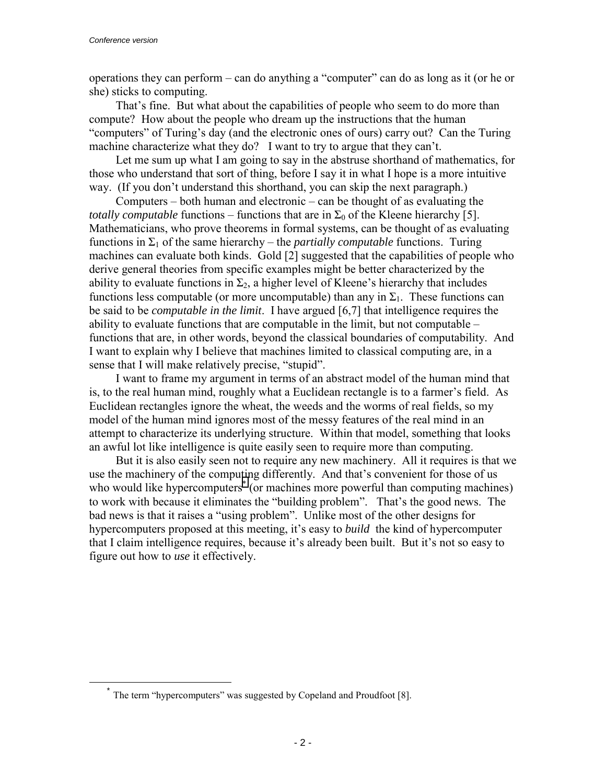operations they can perform  $-\text{ can do anything a "computer" can do as long as it (or he or)$ she) sticks to computing.

That's fine. But what about the capabilities of people who seem to do more than compute? How about the people who dream up the instructions that the human "computers" of Turing's day (and the electronic ones of ours) carry out? Can the Turing machine characterize what they do? I want to try to argue that they can't.

Let me sum up what I am going to say in the abstruse shorthand of mathematics, for those who understand that sort of thing, before I say it in what I hope is a more intuitive way. (If you don't understand this shorthand, you can skip the next paragraph.)

Computers  $-$  both human and electronic  $-$  can be thought of as evaluating the *totally computable* functions – functions that are in  $\Sigma_0$  of the Kleene hierarchy [5]. Mathematicians, who prove theorems in formal systems, can be thought of as evaluating functions in  $\Sigma_1$  of the same hierarchy – the *partially computable* functions. Turing machines can evaluate both kinds. Gold [2] suggested that the capabilities of people who derive general theories from specific examples might be better characterized by the ability to evaluate functions in  $\Sigma_2$ , a higher level of Kleene's hierarchy that includes functions less computable (or more uncomputable) than any in  $\Sigma_1$ . These functions can be said to be *computable in the limit*. I have argued [6,7] that intelligence requires the ability to evaluate functions that are computable in the limit, but not computable  $$ functions that are, in other words, beyond the classical boundaries of computability. And I want to explain why I believe that machines limited to classical computing are, in a sense that I will make relatively precise, "stupid".

I want to frame my argument in terms of an abstract model of the human mind that is, to the real human mind, roughly what a Euclidean rectangle is to a farmer's field. As Euclidean rectangles ignore the wheat, the weeds and the worms of real fields, so my model of the human mind ignores most of the messy features of the real mind in an attempt to characterize its underlying structure. Within that model, something that looks an awful lot like intelligence is quite easily seen to require more than computing.

But it is also easily seen not to require any new machinery. All it requires is that we use the machinery of the computing differently. And that's convenient for those of us who would like hypercomputers<sup>\*</sup> (or machines more powerful than computing machines) to work with because it eliminates the "building problem". That's the good news. The bad news is that it raises a "using problem". Unlike most of the other designs for hypercomputers proposed at this meeting, it's easy to *build* the kind of hypercomputer that I claim intelligence requires, because it's already been built. But it's not so easy to figure out how to *use* it effectively.

 $\check{\ }$  The term "hypercomputers" was suggested by Copeland and Proudfoot [8].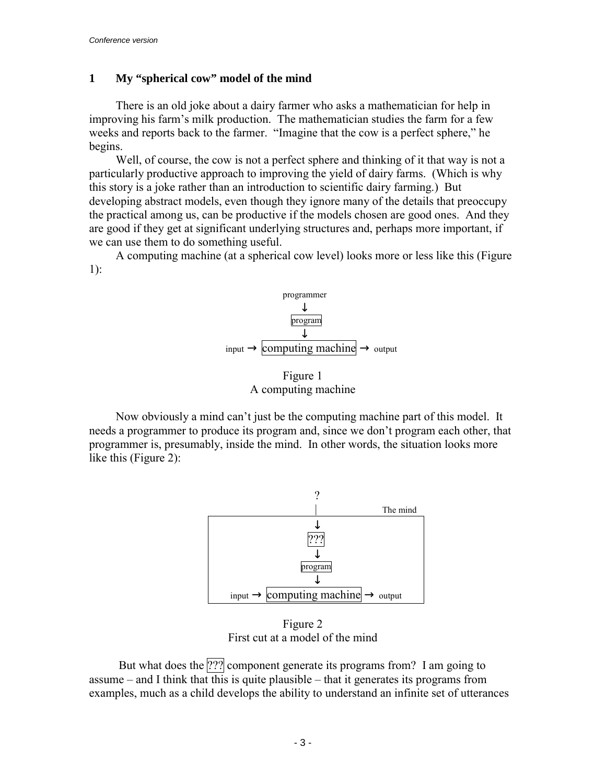# **1 My "spherical cow" model of the mind**

There is an old joke about a dairy farmer who asks a mathematician for help in improving his farm's milk production. The mathematician studies the farm for a few weeks and reports back to the farmer. "Imagine that the cow is a perfect sphere," he begins.

Well, of course, the cow is not a perfect sphere and thinking of it that way is not a particularly productive approach to improving the yield of dairy farms. (Which is why this story is a joke rather than an introduction to scientific dairy farming.) But developing abstract models, even though they ignore many of the details that preoccupy the practical among us, can be productive if the models chosen are good ones. And they are good if they get at significant underlying structures and, perhaps more important, if we can use them to do something useful.

A computing machine (at a spherical cow level) looks more or less like this (Figure 1):



Figure 1 A computing machine

Now obviously a mind can't just be the computing machine part of this model. It needs a programmer to produce its program and, since we don't program each other, that programmer is, presumably, inside the mind. In other words, the situation looks more like this (Figure 2):



Figure 2 First cut at a model of the mind

But what does the ??? component generate its programs from? I am going to assume  $-$  and I think that this is quite plausible  $-$  that it generates its programs from examples, much as a child develops the ability to understand an infinite set of utterances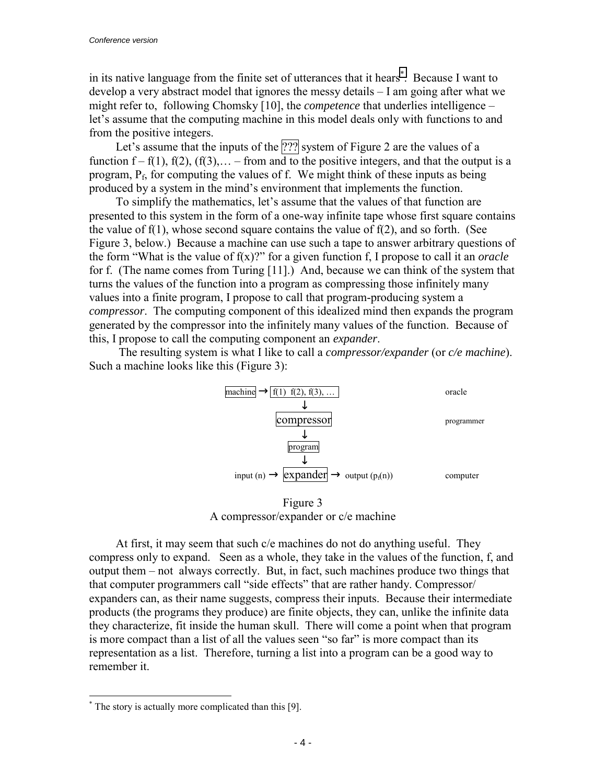in its native language from the finite set of utterances that it hears<sup>\*</sup>. Because I want to develop a very abstract model that ignores the messy details  $-$  I am going after what we might refer to, following Chomsky [10], the *competence* that underlies intelligence – let's assume that the computing machine in this model deals only with functions to and from the positive integers.

Let's assume that the inputs of the  $[??]$  system of Figure 2 are the values of a function  $f - f(1)$ ,  $f(2)$ ,  $(f(3), \ldots - from$  and to the positive integers, and that the output is a program,  $P_f$ , for computing the values of f. We might think of these inputs as being produced by a system in the mind's environment that implements the function.

To simplify the mathematics, let's assume that the values of that function are presented to this system in the form of a one-way infinite tape whose first square contains the value of f(1), whose second square contains the value of f(2), and so forth. (See Figure 3, below.) Because a machine can use such a tape to answer arbitrary questions of the form "What is the value of  $f(x)$ ?" for a given function f, I propose to call it an *oracle* for f. (The name comes from Turing [11].) And, because we can think of the system that turns the values of the function into a program as compressing those infinitely many values into a finite program, I propose to call that program-producing system a *compressor*. The computing component of this idealized mind then expands the program generated by the compressor into the infinitely many values of the function. Because of this, I propose to call the computing component an *expander*.

 The resulting system is what I like to call a *compressor/expander* (or *c/e machine*). Such a machine looks like this (Figure 3):



Figure 3 A compressor/expander or c/e machine

At first, it may seem that such c/e machines do not do anything useful. They compress only to expand. Seen as a whole, they take in the values of the function, f, and output them – not always correctly. But, in fact, such machines produce two things that that computer programmers call "side effects" that are rather handy. Compressor/ expanders can, as their name suggests, compress their inputs. Because their intermediate products (the programs they produce) are finite objects, they can, unlike the infinite data they characterize, fit inside the human skull. There will come a point when that program is more compact than a list of all the values seen "so far" is more compact than its representation as a list. Therefore, turning a list into a program can be a good way to remember it.

l

<sup>\*</sup> The story is actually more complicated than this [9].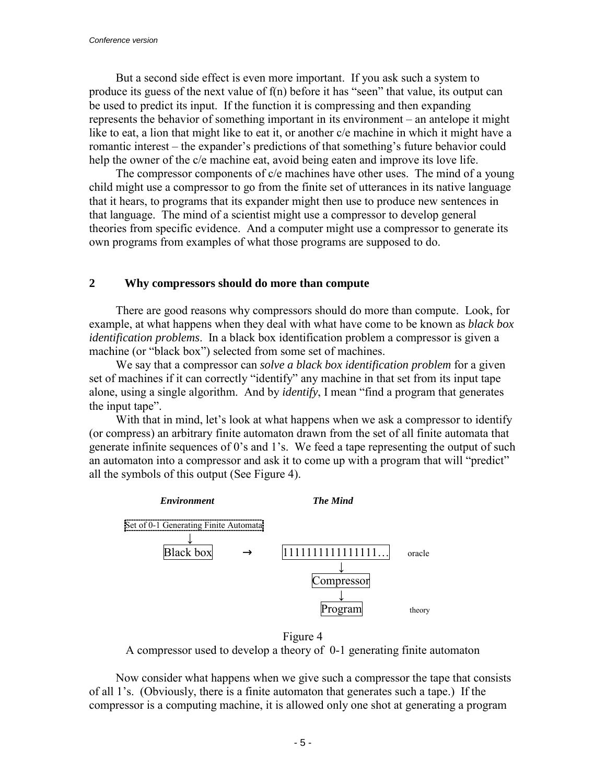But a second side effect is even more important. If you ask such a system to produce its guess of the next value of  $f(n)$  before it has "seen" that value, its output can be used to predict its input. If the function it is compressing and then expanding represents the behavior of something important in its environment – an antelope it might like to eat, a lion that might like to eat it, or another c/e machine in which it might have a romantic interest – the expander's predictions of that something's future behavior could help the owner of the c/e machine eat, avoid being eaten and improve its love life.

The compressor components of c/e machines have other uses. The mind of a young child might use a compressor to go from the finite set of utterances in its native language that it hears, to programs that its expander might then use to produce new sentences in that language. The mind of a scientist might use a compressor to develop general theories from specific evidence. And a computer might use a compressor to generate its own programs from examples of what those programs are supposed to do.

# **2 Why compressors should do more than compute**

There are good reasons why compressors should do more than compute. Look, for example, at what happens when they deal with what have come to be known as *black box identification problems*. In a black box identification problem a compressor is given a machine (or "black box") selected from some set of machines.

We say that a compressor can *solve a black box identification problem* for a given set of machines if it can correctly "identify" any machine in that set from its input tape alone, using a single algorithm. And by *identify*, I mean "find a program that generates the input tape".

With that in mind, let's look at what happens when we ask a compressor to identify (or compress) an arbitrary finite automaton drawn from the set of all finite automata that generate infinite sequences of 0's and 1's. We feed a tape representing the output of such an automaton into a compressor and ask it to come up with a program that will "predict" all the symbols of this output (See Figure 4).



Figure 4 A compressor used to develop a theory of 0-1 generating finite automaton

Now consider what happens when we give such a compressor the tape that consists of all 1's. (Obviously, there is a finite automaton that generates such a tape.) If the compressor is a computing machine, it is allowed only one shot at generating a program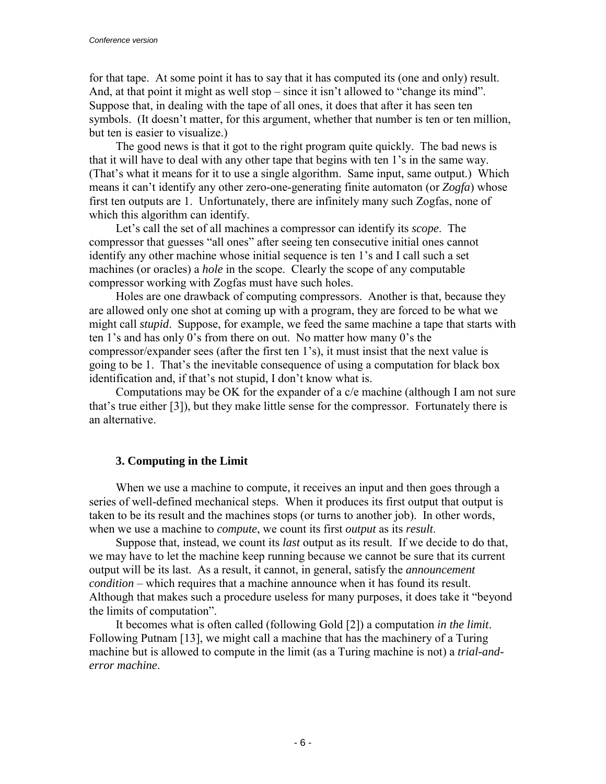for that tape. At some point it has to say that it has computed its (one and only) result. And, at that point it might as well stop  $-\sin$ ce it isn<sup> $\cdot$ </sup> allowed to "change its mind". Suppose that, in dealing with the tape of all ones, it does that after it has seen ten symbols. (It doesn't matter, for this argument, whether that number is ten or ten million, but ten is easier to visualize.)

The good news is that it got to the right program quite quickly. The bad news is that it will have to deal with any other tape that begins with ten 1's in the same way. (That's what it means for it to use a single algorithm. Same input, same output.) Which means it canít identify any other zero-one-generating finite automaton (or *Zogfa*) whose first ten outputs are 1. Unfortunately, there are infinitely many such Zogfas, none of which this algorithm can identify.

Let's call the set of all machines a compressor can identify its *scope*. The compressor that guesses "all ones" after seeing ten consecutive initial ones cannot identify any other machine whose initial sequence is ten 1's and I call such a set machines (or oracles) a *hole* in the scope. Clearly the scope of any computable compressor working with Zogfas must have such holes.

Holes are one drawback of computing compressors. Another is that, because they are allowed only one shot at coming up with a program, they are forced to be what we might call *stupid*. Suppose, for example, we feed the same machine a tape that starts with ten 1's and has only 0's from there on out. No matter how many 0's the compressor/expander sees (after the first ten 1's), it must insist that the next value is going to be 1. That's the inevitable consequence of using a computation for black box identification and, if that's not stupid, I don't know what is.

Computations may be OK for the expander of a c/e machine (although I am not sure that's true either  $[3]$ ), but they make little sense for the compressor. Fortunately there is an alternative.

#### **3. Computing in the Limit**

When we use a machine to compute, it receives an input and then goes through a series of well-defined mechanical steps. When it produces its first output that output is taken to be its result and the machines stops (or turns to another job). In other words, when we use a machine to *compute*, we count its first *output* as its *result*.

Suppose that, instead, we count its *last* output as its result. If we decide to do that, we may have to let the machine keep running because we cannot be sure that its current output will be its last. As a result, it cannot, in general, satisfy the *announcement condition* – which requires that a machine announce when it has found its result. Although that makes such a procedure useless for many purposes, it does take it "beyond" the limits of computation".

It becomes what is often called (following Gold [2]) a computation *in the limit*. Following Putnam [13], we might call a machine that has the machinery of a Turing machine but is allowed to compute in the limit (as a Turing machine is not) a *trial-anderror machine*.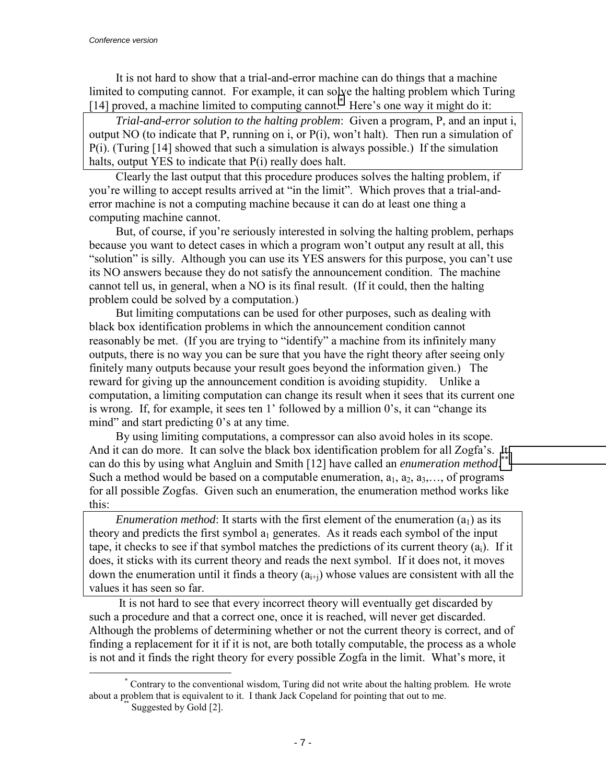It is not hard to show that a trial-and-error machine can do things that a machine limited to computing cannot. For example, it can solve the halting problem which Turing [14] proved, a machine limited to computing cannot.<sup>\*</sup> Here's one way it might do it:

*Trial-and-error solution to the halting problem*: Given a program, P, and an input i, output NO (to indicate that P, running on i, or  $P(i)$ , won't halt). Then run a simulation of P(i). (Turing [14] showed that such a simulation is always possible.) If the simulation halts, output YES to indicate that P(i) really does halt.

Clearly the last output that this procedure produces solves the halting problem, if you're willing to accept results arrived at "in the limit". Which proves that a trial-anderror machine is not a computing machine because it can do at least one thing a computing machine cannot.

But, of course, if you're seriously interested in solving the halting problem, perhaps because you want to detect cases in which a program won't output any result at all, this "solution" is silly. Although you can use its YES answers for this purpose, you can't use its NO answers because they do not satisfy the announcement condition. The machine cannot tell us, in general, when a NO is its final result. (If it could, then the halting problem could be solved by a computation.)

But limiting computations can be used for other purposes, such as dealing with black box identification problems in which the announcement condition cannot reasonably be met. (If you are trying to "identify" a machine from its infinitely many outputs, there is no way you can be sure that you have the right theory after seeing only finitely many outputs because your result goes beyond the information given.) The reward for giving up the announcement condition is avoiding stupidity. Unlike a computation, a limiting computation can change its result when it sees that its current one is wrong. If, for example, it sees ten  $1'$  followed by a million  $0's$ , it can "change its mind" and start predicting  $0$ 's at any time.

By using limiting computations, a compressor can also avoid holes in its scope. And it can do more. It can solve the black box identification problem for all Zogfa's. It can do this by using what Angluin and Smith [12] have called an *enumeration method*.<sup>\*\*</sup> Such a method would be based on a computable enumeration,  $a_1, a_2, a_3, \ldots$ , of programs for all possible Zogfas. Given such an enumeration, the enumeration method works like this:

*Enumeration method*: It starts with the first element of the enumeration  $(a_1)$  as its theory and predicts the first symbol  $a_1$  generates. As it reads each symbol of the input tape, it checks to see if that symbol matches the predictions of its current theory  $(a_i)$ . If it does, it sticks with its current theory and reads the next symbol. If it does not, it moves down the enumeration until it finds a theory  $(a_{i+i})$  whose values are consistent with all the values it has seen so far.

 It is not hard to see that every incorrect theory will eventually get discarded by such a procedure and that a correct one, once it is reached, will never get discarded. Although the problems of determining whether or not the current theory is correct, and of finding a replacement for it if it is not, are both totally computable, the process as a whole is not and it finds the right theory for every possible Zogfa in the limit. What's more, it

\* Contrary to the conventional wisdom, Turing did not write about the halting problem. He wrote about a problem that is equivalent to it. I thank Jack Copeland for pointing that out to me. Suggested by Gold [2].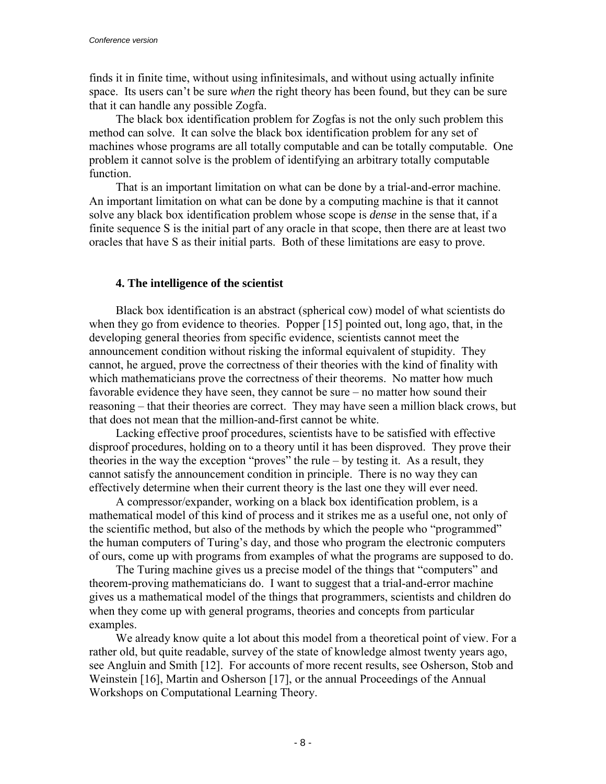finds it in finite time, without using infinitesimals, and without using actually infinite space. Its users can't be sure *when* the right theory has been found, but they can be sure that it can handle any possible Zogfa.

The black box identification problem for Zogfas is not the only such problem this method can solve. It can solve the black box identification problem for any set of machines whose programs are all totally computable and can be totally computable. One problem it cannot solve is the problem of identifying an arbitrary totally computable function.

That is an important limitation on what can be done by a trial-and-error machine. An important limitation on what can be done by a computing machine is that it cannot solve any black box identification problem whose scope is *dense* in the sense that, if a finite sequence S is the initial part of any oracle in that scope, then there are at least two oracles that have S as their initial parts. Both of these limitations are easy to prove.

## **4. The intelligence of the scientist**

Black box identification is an abstract (spherical cow) model of what scientists do when they go from evidence to theories. Popper [15] pointed out, long ago, that, in the developing general theories from specific evidence, scientists cannot meet the announcement condition without risking the informal equivalent of stupidity. They cannot, he argued, prove the correctness of their theories with the kind of finality with which mathematicians prove the correctness of their theorems. No matter how much favorable evidence they have seen, they cannot be sure  $-$  no matter how sound their reasoning – that their theories are correct. They may have seen a million black crows, but that does not mean that the million-and-first cannot be white.

Lacking effective proof procedures, scientists have to be satisfied with effective disproof procedures, holding on to a theory until it has been disproved. They prove their theories in the way the exception "proves" the rule  $-$  by testing it. As a result, they cannot satisfy the announcement condition in principle. There is no way they can effectively determine when their current theory is the last one they will ever need.

A compressor/expander, working on a black box identification problem, is a mathematical model of this kind of process and it strikes me as a useful one, not only of the scientific method, but also of the methods by which the people who "programmed" the human computers of Turing's day, and those who program the electronic computers of ours, come up with programs from examples of what the programs are supposed to do.

The Turing machine gives us a precise model of the things that "computers" and theorem-proving mathematicians do. I want to suggest that a trial-and-error machine gives us a mathematical model of the things that programmers, scientists and children do when they come up with general programs, theories and concepts from particular examples.

We already know quite a lot about this model from a theoretical point of view. For a rather old, but quite readable, survey of the state of knowledge almost twenty years ago, see Angluin and Smith [12]. For accounts of more recent results, see Osherson, Stob and Weinstein [16], Martin and Osherson [17], or the annual Proceedings of the Annual Workshops on Computational Learning Theory.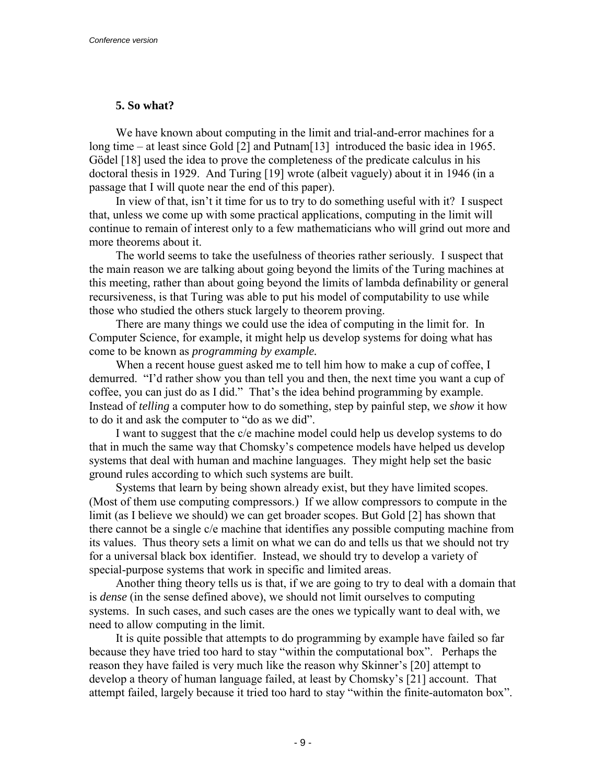# **5. So what?**

We have known about computing in the limit and trial-and-error machines for a long time – at least since Gold  $[2]$  and Putnam $[13]$  introduced the basic idea in 1965. Gödel [18] used the idea to prove the completeness of the predicate calculus in his doctoral thesis in 1929. And Turing [19] wrote (albeit vaguely) about it in 1946 (in a passage that I will quote near the end of this paper).

In view of that, isn't it time for us to try to do something useful with it? I suspect that, unless we come up with some practical applications, computing in the limit will continue to remain of interest only to a few mathematicians who will grind out more and more theorems about it.

The world seems to take the usefulness of theories rather seriously. I suspect that the main reason we are talking about going beyond the limits of the Turing machines at this meeting, rather than about going beyond the limits of lambda definability or general recursiveness, is that Turing was able to put his model of computability to use while those who studied the others stuck largely to theorem proving.

There are many things we could use the idea of computing in the limit for. In Computer Science, for example, it might help us develop systems for doing what has come to be known as *programming by example.*

When a recent house guest asked me to tell him how to make a cup of coffee, I demurred. "I'd rather show you than tell you and then, the next time you want a cup of coffee, you can just do as I did." That's the idea behind programming by example. Instead of *telling* a computer how to do something, step by painful step, we *show* it how to do it and ask the computer to "do as we did".

I want to suggest that the c/e machine model could help us develop systems to do that in much the same way that Chomsky's competence models have helped us develop systems that deal with human and machine languages. They might help set the basic ground rules according to which such systems are built.

Systems that learn by being shown already exist, but they have limited scopes. (Most of them use computing compressors.) If we allow compressors to compute in the limit (as I believe we should) we can get broader scopes. But Gold [2] has shown that there cannot be a single c/e machine that identifies any possible computing machine from its values. Thus theory sets a limit on what we can do and tells us that we should not try for a universal black box identifier. Instead, we should try to develop a variety of special-purpose systems that work in specific and limited areas.

Another thing theory tells us is that, if we are going to try to deal with a domain that is *dense* (in the sense defined above), we should not limit ourselves to computing systems. In such cases, and such cases are the ones we typically want to deal with, we need to allow computing in the limit.

It is quite possible that attempts to do programming by example have failed so far because they have tried too hard to stay "within the computational box". Perhaps the reason they have failed is very much like the reason why Skinner's [20] attempt to develop a theory of human language failed, at least by Chomsky's [21] account. That attempt failed, largely because it tried too hard to stay "within the finite-automaton box".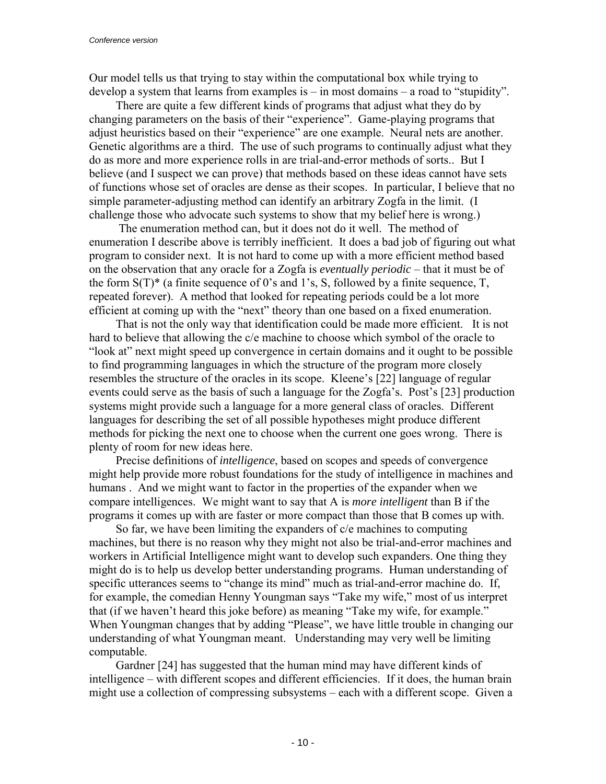Our model tells us that trying to stay within the computational box while trying to develop a system that learns from examples is  $-$  in most domains  $-$  a road to "stupidity".

There are quite a few different kinds of programs that adjust what they do by changing parameters on the basis of their "experience". Game-playing programs that adjust heuristics based on their "experience" are one example. Neural nets are another. Genetic algorithms are a third. The use of such programs to continually adjust what they do as more and more experience rolls in are trial-and-error methods of sorts.. But I believe (and I suspect we can prove) that methods based on these ideas cannot have sets of functions whose set of oracles are dense as their scopes. In particular, I believe that no simple parameter-adjusting method can identify an arbitrary Zogfa in the limit. (I challenge those who advocate such systems to show that my belief here is wrong.)

 The enumeration method can, but it does not do it well. The method of enumeration I describe above is terribly inefficient. It does a bad job of figuring out what program to consider next. It is not hard to come up with a more efficient method based on the observation that any oracle for a Zogfa is *eventually periodic* – that it must be of the form  $S(T)^*$  (a finite sequence of 0's and 1's, S, followed by a finite sequence, T, repeated forever). A method that looked for repeating periods could be a lot more efficient at coming up with the "next" theory than one based on a fixed enumeration.

That is not the only way that identification could be made more efficient. It is not hard to believe that allowing the c/e machine to choose which symbol of the oracle to ìlook atî next might speed up convergence in certain domains and it ought to be possible to find programming languages in which the structure of the program more closely resembles the structure of the oracles in its scope. Kleene's [22] language of regular events could serve as the basis of such a language for the Zogfa's. Post's [23] production systems might provide such a language for a more general class of oracles. Different languages for describing the set of all possible hypotheses might produce different methods for picking the next one to choose when the current one goes wrong. There is plenty of room for new ideas here.

Precise definitions of *intelligence*, based on scopes and speeds of convergence might help provide more robust foundations for the study of intelligence in machines and humans . And we might want to factor in the properties of the expander when we compare intelligences. We might want to say that A is *more intelligent* than B if the programs it comes up with are faster or more compact than those that B comes up with.

So far, we have been limiting the expanders of c/e machines to computing machines, but there is no reason why they might not also be trial-and-error machines and workers in Artificial Intelligence might want to develop such expanders. One thing they might do is to help us develop better understanding programs. Human understanding of specific utterances seems to "change its mind" much as trial-and-error machine do. If, for example, the comedian Henny Youngman says "Take my wife," most of us interpret that (if we haven't heard this joke before) as meaning "Take my wife, for example." When Youngman changes that by adding "Please", we have little trouble in changing our understanding of what Youngman meant. Understanding may very well be limiting computable.

Gardner [24] has suggested that the human mind may have different kinds of intelligence – with different scopes and different efficiencies. If it does, the human brain might use a collection of compressing subsystems – each with a different scope. Given a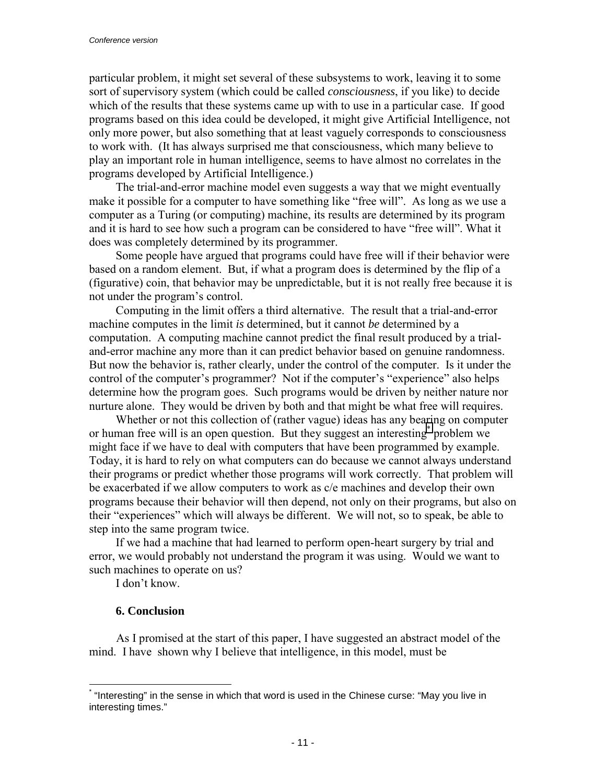particular problem, it might set several of these subsystems to work, leaving it to some sort of supervisory system (which could be called *consciousness*, if you like) to decide which of the results that these systems came up with to use in a particular case. If good programs based on this idea could be developed, it might give Artificial Intelligence, not only more power, but also something that at least vaguely corresponds to consciousness to work with. (It has always surprised me that consciousness, which many believe to play an important role in human intelligence, seems to have almost no correlates in the programs developed by Artificial Intelligence.)

The trial-and-error machine model even suggests a way that we might eventually make it possible for a computer to have something like "free will". As long as we use a computer as a Turing (or computing) machine, its results are determined by its program and it is hard to see how such a program can be considered to have "free will". What it does was completely determined by its programmer.

Some people have argued that programs could have free will if their behavior were based on a random element. But, if what a program does is determined by the flip of a (figurative) coin, that behavior may be unpredictable, but it is not really free because it is not under the program's control.

Computing in the limit offers a third alternative. The result that a trial-and-error machine computes in the limit *is* determined, but it cannot *be* determined by a computation. A computing machine cannot predict the final result produced by a trialand-error machine any more than it can predict behavior based on genuine randomness. But now the behavior is, rather clearly, under the control of the computer. Is it under the control of the computer's programmer? Not if the computer's "experience" also helps determine how the program goes. Such programs would be driven by neither nature nor nurture alone. They would be driven by both and that might be what free will requires.

Whether or not this collection of (rather vague) ideas has any bearing on computer or human free will is an open question. But they suggest an interesting<sup>\*</sup> problem we might face if we have to deal with computers that have been programmed by example. Today, it is hard to rely on what computers can do because we cannot always understand their programs or predict whether those programs will work correctly. That problem will be exacerbated if we allow computers to work as c/e machines and develop their own programs because their behavior will then depend, not only on their programs, but also on their "experiences" which will always be different. We will not, so to speak, be able to step into the same program twice.

If we had a machine that had learned to perform open-heart surgery by trial and error, we would probably not understand the program it was using. Would we want to such machines to operate on us?

I don't know.

# **6. Conclusion**

l

As I promised at the start of this paper, I have suggested an abstract model of the mind. I have shown why I believe that intelligence, in this model, must be

<sup>\* &</sup>quot;Interesting" in the sense in which that word is used in the Chinese curse: "May you live in interesting times."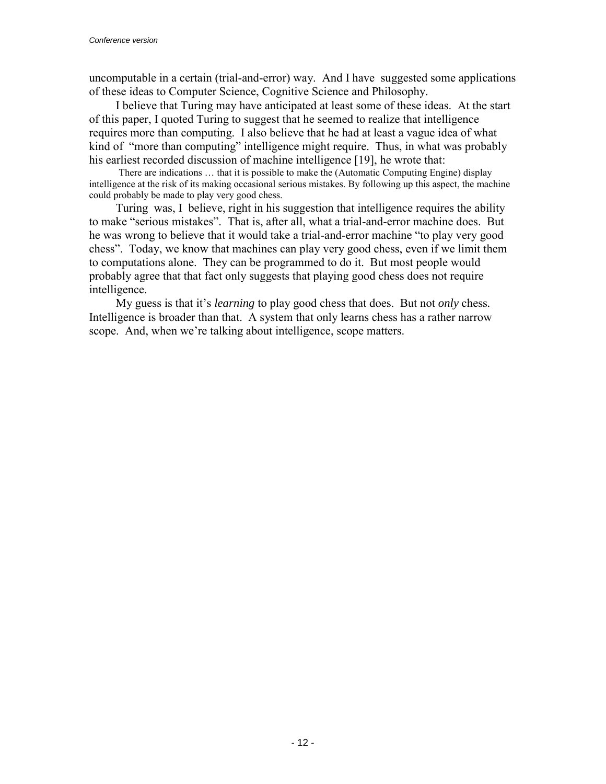uncomputable in a certain (trial-and-error) way. And I have suggested some applications of these ideas to Computer Science, Cognitive Science and Philosophy.

I believe that Turing may have anticipated at least some of these ideas. At the start of this paper, I quoted Turing to suggest that he seemed to realize that intelligence requires more than computing. I also believe that he had at least a vague idea of what kind of "more than computing" intelligence might require. Thus, in what was probably his earliest recorded discussion of machine intelligence [19], he wrote that:

There are indications  $\dots$  that it is possible to make the (Automatic Computing Engine) display intelligence at the risk of its making occasional serious mistakes. By following up this aspect, the machine could probably be made to play very good chess.

Turing was, I believe, right in his suggestion that intelligence requires the ability to make "serious mistakes". That is, after all, what a trial-and-error machine does. But he was wrong to believe that it would take a trial-and-error machine "to play very good chessî. Today, we know that machines can play very good chess, even if we limit them to computations alone. They can be programmed to do it. But most people would probably agree that that fact only suggests that playing good chess does not require intelligence.

My guess is that it's *learning* to play good chess that does. But not *only* chess. Intelligence is broader than that. A system that only learns chess has a rather narrow scope. And, when we're talking about intelligence, scope matters.